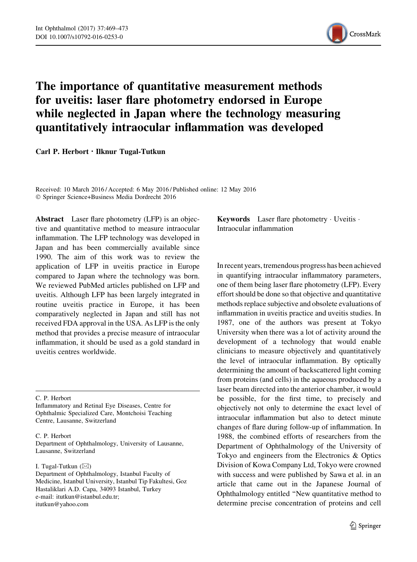

## The importance of quantitative measurement methods for uveitis: laser flare photometry endorsed in Europe while neglected in Japan where the technology measuring quantitatively intraocular inflammation was developed

Carl P. Herbort · Ilknur Tugal-Tutkun

Received: 10 March 2016 / Accepted: 6 May 2016 / Published online: 12 May 2016 - Springer Science+Business Media Dordrecht 2016

Abstract Laser flare photometry (LFP) is an objective and quantitative method to measure intraocular inflammation. The LFP technology was developed in Japan and has been commercially available since 1990. The aim of this work was to review the application of LFP in uveitis practice in Europe compared to Japan where the technology was born. We reviewed PubMed articles published on LFP and uveitis. Although LFP has been largely integrated in routine uveitis practice in Europe, it has been comparatively neglected in Japan and still has not received FDA approval in the USA. As LFP is the only method that provides a precise measure of intraocular inflammation, it should be used as a gold standard in uveitis centres worldwide.

C. P. Herbort

Inflammatory and Retinal Eye Diseases, Centre for Ophthalmic Specialized Care, Montchoisi Teaching Centre, Lausanne, Switzerland

## C. P. Herbort

Department of Ophthalmology, University of Lausanne, Lausanne, Switzerland

I. Tugal-Tutkun  $(\boxtimes)$ 

Keywords Laser flare photometry · Uveitis · Intraocular inflammation

In recent years, tremendous progress has been achieved in quantifying intraocular inflammatory parameters, one of them being laser flare photometry (LFP). Every effort should be done so that objective and quantitative methods replace subjective and obsolete evaluations of inflammation in uveitis practice and uveitis studies. In 1987, one of the authors was present at Tokyo University when there was a lot of activity around the development of a technology that would enable clinicians to measure objectively and quantitatively the level of intraocular inflammation. By optically determining the amount of backscattered light coming from proteins (and cells) in the aqueous produced by a laser beam directed into the anterior chamber, it would be possible, for the first time, to precisely and objectively not only to determine the exact level of intraocular inflammation but also to detect minute changes of flare during follow-up of inflammation. In 1988, the combined efforts of researchers from the Department of Ophthalmology of the University of Tokyo and engineers from the Electronics & Optics Division of Kowa Company Ltd, Tokyo were crowned with success and were published by Sawa et al. in an article that came out in the Japanese Journal of Ophthalmology entitled ''New quantitative method to determine precise concentration of proteins and cell

Department of Ophthalmology, Istanbul Faculty of Medicine, Istanbul University, Istanbul Tip Fakultesi, Goz Hastaliklari A.D. Capa, 34093 Istanbul, Turkey e-mail: itutkun@istanbul.edu.tr; itutkun@yahoo.com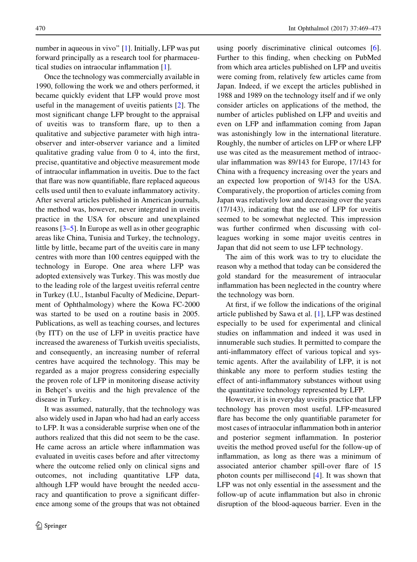number in aqueous in vivo" [\[1](#page-3-0)]. Initially, LFP was put forward principally as a research tool for pharmaceutical studies on intraocular inflammation [[1\]](#page-3-0).

Once the technology was commercially available in 1990, following the work we and others performed, it became quickly evident that LFP would prove most useful in the management of uveitis patients [[2\]](#page-3-0). The most significant change LFP brought to the appraisal of uveitis was to transform flare, up to then a qualitative and subjective parameter with high intraobserver and inter-observer variance and a limited qualitative grading value from 0 to 4, into the first, precise, quantitative and objective measurement mode of intraocular inflammation in uveitis. Due to the fact that flare was now quantifiable, flare replaced aqueous cells used until then to evaluate inflammatory activity. After several articles published in American journals, the method was, however, never integrated in uveitis practice in the USA for obscure and unexplained reasons [[3–](#page-3-0)[5\]](#page-4-0). In Europe as well as in other geographic areas like China, Tunisia and Turkey, the technology, little by little, became part of the uveitis care in many centres with more than 100 centres equipped with the technology in Europe. One area where LFP was adopted extensively was Turkey. This was mostly due to the leading role of the largest uveitis referral centre in Turkey (I.U., Istanbul Faculty of Medicine, Department of Ophthalmology) where the Kowa FC-2000 was started to be used on a routine basis in 2005. Publications, as well as teaching courses, and lectures (by ITT) on the use of LFP in uveitis practice have increased the awareness of Turkish uveitis specialists, and consequently, an increasing number of referral centres have acquired the technology. This may be regarded as a major progress considering especially the proven role of LFP in monitoring disease activity in Behçet's uveitis and the high prevalence of the disease in Turkey.

It was assumed, naturally, that the technology was also widely used in Japan who had had an early access to LFP. It was a considerable surprise when one of the authors realized that this did not seem to be the case. He came across an article where inflammation was evaluated in uveitis cases before and after vitrectomy where the outcome relied only on clinical signs and outcomes, not including quantitative LFP data, although LFP would have brought the needed accuracy and quantification to prove a significant difference among some of the groups that was not obtained using poorly discriminative clinical outcomes [\[6](#page-4-0)]. Further to this finding, when checking on PubMed from which area articles published on LFP and uveitis were coming from, relatively few articles came from Japan. Indeed, if we except the articles published in 1988 and 1989 on the technology itself and if we only consider articles on applications of the method, the number of articles published on LFP and uveitis and even on LFP and inflammation coming from Japan was astonishingly low in the international literature. Roughly, the number of articles on LFP or where LFP use was cited as the measurement method of intraocular inflammation was 89/143 for Europe, 17/143 for China with a frequency increasing over the years and an expected low proportion of 9/143 for the USA. Comparatively, the proportion of articles coming from Japan was relatively low and decreasing over the years (17/143), indicating that the use of LFP for uveitis seemed to be somewhat neglected. This impression was further confirmed when discussing with colleagues working in some major uveitis centres in Japan that did not seem to use LFP technology.

The aim of this work was to try to elucidate the reason why a method that today can be considered the gold standard for the measurement of intraocular inflammation has been neglected in the country where the technology was born.

At first, if we follow the indications of the original article published by Sawa et al. [[1\]](#page-3-0), LFP was destined especially to be used for experimental and clinical studies on inflammation and indeed it was used in innumerable such studies. It permitted to compare the anti-inflammatory effect of various topical and systemic agents. After the availability of LFP, it is not thinkable any more to perform studies testing the effect of anti-inflammatory substances without using the quantitative technology represented by LFP.

However, it is in everyday uveitis practice that LFP technology has proven most useful. LFP-measured flare has become the only quantifiable parameter for most cases of intraocular inflammation both in anterior and posterior segment inflammation. In posterior uveitis the method proved useful for the follow-up of inflammation, as long as there was a minimum of associated anterior chamber spill-over flare of 15 photon counts per millisecond [\[4](#page-3-0)]. It was shown that LFP was not only essential in the assessment and the follow-up of acute inflammation but also in chronic disruption of the blood-aqueous barrier. Even in the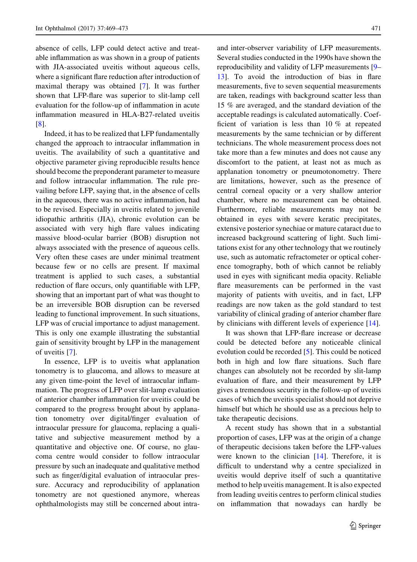absence of cells, LFP could detect active and treatable inflammation as was shown in a group of patients with JIA-associated uveitis without aqueous cells, where a significant flare reduction after introduction of maximal therapy was obtained [[7\]](#page-4-0). It was further shown that LFP-flare was superior to slit-lamp cell evaluation for the follow-up of inflammation in acute inflammation measured in HLA-B27-related uveitis [\[8](#page-4-0)].

Indeed, it has to be realized that LFP fundamentally changed the approach to intraocular inflammation in uveitis. The availability of such a quantitative and objective parameter giving reproducible results hence should become the preponderant parameter to measure and follow intraocular inflammation. The rule prevailing before LFP, saying that, in the absence of cells in the aqueous, there was no active inflammation, had to be revised. Especially in uveitis related to juvenile idiopathic arthritis (JIA), chronic evolution can be associated with very high flare values indicating massive blood-ocular barrier (BOB) disruption not always associated with the presence of aqueous cells. Very often these cases are under minimal treatment because few or no cells are present. If maximal treatment is applied to such cases, a substantial reduction of flare occurs, only quantifiable with LFP, showing that an important part of what was thought to be an irreversible BOB disruption can be reversed leading to functional improvement. In such situations, LFP was of crucial importance to adjust management. This is only one example illustrating the substantial gain of sensitivity brought by LFP in the management of uveitis [[7\]](#page-4-0).

In essence, LFP is to uveitis what applanation tonometry is to glaucoma, and allows to measure at any given time-point the level of intraocular inflammation. The progress of LFP over slit-lamp evaluation of anterior chamber inflammation for uveitis could be compared to the progress brought about by applanation tonometry over digital/finger evaluation of intraocular pressure for glaucoma, replacing a qualitative and subjective measurement method by a quantitative and objective one. Of course, no glaucoma centre would consider to follow intraocular pressure by such an inadequate and qualitative method such as finger/digital evaluation of intraocular pressure. Accuracy and reproducibility of applanation tonometry are not questioned anymore, whereas ophthalmologists may still be concerned about intraand inter-observer variability of LFP measurements. Several studies conducted in the 1990s have shown the reproducibility and validity of LFP measurements [\[9](#page-4-0)– [13\]](#page-4-0). To avoid the introduction of bias in flare measurements, five to seven sequential measurements are taken, readings with background scatter less than 15 % are averaged, and the standard deviation of the acceptable readings is calculated automatically. Coefficient of variation is less than 10 % at repeated measurements by the same technician or by different technicians. The whole measurement process does not take more than a few minutes and does not cause any discomfort to the patient, at least not as much as applanation tonometry or pneumotonometry. There are limitations, however, such as the presence of central corneal opacity or a very shallow anterior chamber, where no measurement can be obtained. Furthermore, reliable measurements may not be obtained in eyes with severe keratic precipitates, extensive posterior synechiae or mature cataract due to increased background scattering of light. Such limitations exist for any other technology that we routinely use, such as automatic refractometer or optical coherence tomography, both of which cannot be reliably used in eyes with significant media opacity. Reliable flare measurements can be performed in the vast majority of patients with uveitis, and in fact, LFP readings are now taken as the gold standard to test variability of clinical grading of anterior chamber flare by clinicians with different levels of experience [[14\]](#page-4-0).

It was shown that LFP-flare increase or decrease could be detected before any noticeable clinical evolution could be recorded [[5\]](#page-4-0). This could be noticed both in high and low flare situations. Such flare changes can absolutely not be recorded by slit-lamp evaluation of flare, and their measurement by LFP gives a tremendous security in the follow-up of uveitis cases of which the uveitis specialist should not deprive himself but which he should use as a precious help to take therapeutic decisions.

A recent study has shown that in a substantial proportion of cases, LFP was at the origin of a change of therapeutic decisions taken before the LFP-values were known to the clinician [[14\]](#page-4-0). Therefore, it is difficult to understand why a centre specialized in uveitis would deprive itself of such a quantitative method to help uveitis management. It is also expected from leading uveitis centres to perform clinical studies on inflammation that nowadays can hardly be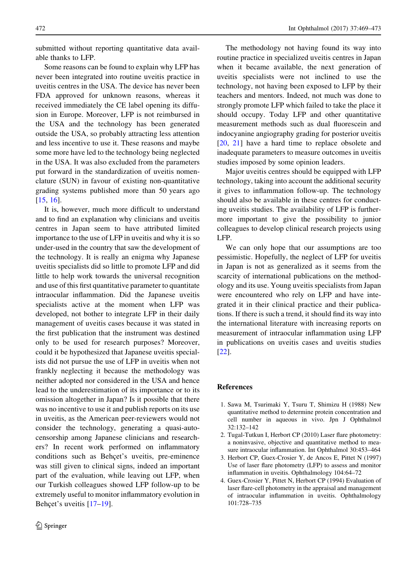<span id="page-3-0"></span>submitted without reporting quantitative data available thanks to LFP.

Some reasons can be found to explain why LFP has never been integrated into routine uveitis practice in uveitis centres in the USA. The device has never been FDA approved for unknown reasons, whereas it received immediately the CE label opening its diffusion in Europe. Moreover, LFP is not reimbursed in the USA and the technology has been generated outside the USA, so probably attracting less attention and less incentive to use it. These reasons and maybe some more have led to the technology being neglected in the USA. It was also excluded from the parameters put forward in the standardization of uveitis nomenclature (SUN) in favour of existing non-quantitative grading systems published more than 50 years ago [\[15](#page-4-0), [16](#page-4-0)].

It is, however, much more difficult to understand and to find an explanation why clinicians and uveitis centres in Japan seem to have attributed limited importance to the use of LFP in uveitis and why it is so under-used in the country that saw the development of the technology. It is really an enigma why Japanese uveitis specialists did so little to promote LFP and did little to help work towards the universal recognition and use of this first quantitative parameter to quantitate intraocular inflammation. Did the Japanese uveitis specialists active at the moment when LFP was developed, not bother to integrate LFP in their daily management of uveitis cases because it was stated in the first publication that the instrument was destined only to be used for research purposes? Moreover, could it be hypothesized that Japanese uveitis specialists did not pursue the use of LFP in uveitis when not frankly neglecting it because the methodology was neither adopted nor considered in the USA and hence lead to the underestimation of its importance or to its omission altogether in Japan? Is it possible that there was no incentive to use it and publish reports on its use in uveitis, as the American peer-reviewers would not consider the technology, generating a quasi-autocensorship among Japanese clinicians and researchers? In recent work performed on inflammatory conditions such as Behçet's uveitis, pre-eminence was still given to clinical signs, indeed an important part of the evaluation, while leaving out LFP, when our Turkish colleagues showed LFP follow-up to be extremely useful to monitor inflammatory evolution in Behcet's uveitis  $[17–19]$  $[17–19]$ .

The methodology not having found its way into routine practice in specialized uveitis centres in Japan when it became available, the next generation of uveitis specialists were not inclined to use the technology, not having been exposed to LFP by their teachers and mentors. Indeed, not much was done to strongly promote LFP which failed to take the place it should occupy. Today LFP and other quantitative measurement methods such as dual fluorescein and indocyanine angiography grading for posterior uveitis [\[20](#page-4-0), [21](#page-4-0)] have a hard time to replace obsolete and inadequate parameters to measure outcomes in uveitis studies imposed by some opinion leaders.

Major uveitis centres should be equipped with LFP technology, taking into account the additional security it gives to inflammation follow-up. The technology should also be available in these centres for conducting uveitis studies. The availability of LFP is furthermore important to give the possibility to junior colleagues to develop clinical research projects using LFP.

We can only hope that our assumptions are too pessimistic. Hopefully, the neglect of LFP for uveitis in Japan is not as generalized as it seems from the scarcity of international publications on the methodology and its use. Young uveitis specialists from Japan were encountered who rely on LFP and have integrated it in their clinical practice and their publications. If there is such a trend, it should find its way into the international literature with increasing reports on measurement of intraocular inflammation using LFP in publications on uveitis cases and uveitis studies [\[22](#page-4-0)].

## References

- 1. Sawa M, Tsurimaki Y, Tsuru T, Shimizu H (1988) New quantitative method to determine protein concentration and cell number in aqueous in vivo. Jpn J Ophthalmol 32:132–142
- 2. Tugal-Tutkun I, Herbort CP (2010) Laser flare photometry: a noninvasive, objective and quantitative method to measure intraocular inflammation. Int Ophthalmol 30:453–464
- 3. Herbort CP, Guex-Crosier Y, de Ancos E, Pittet N (1997) Use of laser flare photometry (LFP) to assess and monitor inflammation in uveitis. Ophthalmology 104:64–72
- 4. Guex-Crosier Y, Pittet N, Herbort CP (1994) Evaluation of laser flare-cell photometry in the appraisal and management of intraocular inflammation in uveitis. Ophthalmology 101:728–735